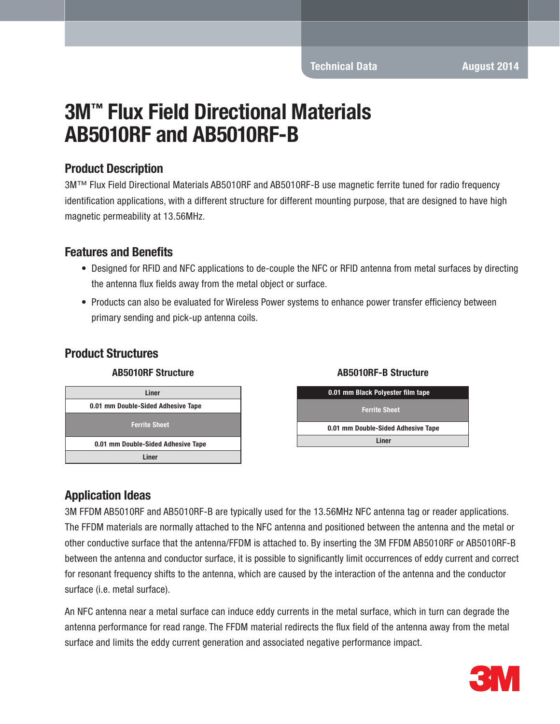Technical Data August 2014

# 3M™ Flux Field Directional Materials AB5010RF and AB5010RF-B

#### Product Description

3M™ Flux Field Directional Materials AB5010RF and AB5010RF-B use magnetic ferrite tuned for radio frequency identification applications, with a different structure for different mounting purpose, that are designed to have high magnetic permeability at 13.56MHz.

# Features and Benefits

- Designed for RFID and NFC applications to de-couple the NFC or RFID antenna from metal surfaces by directing the antenna flux fields away from the metal object or surface.
- Products can also be evaluated for Wireless Power systems to enhance power transfer efficiency between primary sending and pick-up antenna coils.

# Product Structures





#### AB5010RF-B Structure



#### Application Ideas

3M FFDM AB5010RF and AB5010RF-B are typically used for the 13.56MHz NFC antenna tag or reader applications. The FFDM materials are normally attached to the NFC antenna and positioned between the antenna and the metal or other conductive surface that the antenna/FFDM is attached to. By inserting the 3M FFDM AB5010RF or AB5010RF-B between the antenna and conductor surface, it is possible to significantly limit occurrences of eddy current and correct for resonant frequency shifts to the antenna, which are caused by the interaction of the antenna and the conductor surface (i.e. metal surface).

An NFC antenna near a metal surface can induce eddy currents in the metal surface, which in turn can degrade the antenna performance for read range. The FFDM material redirects the flux field of the antenna away from the metal surface and limits the eddy current generation and associated negative performance impact.

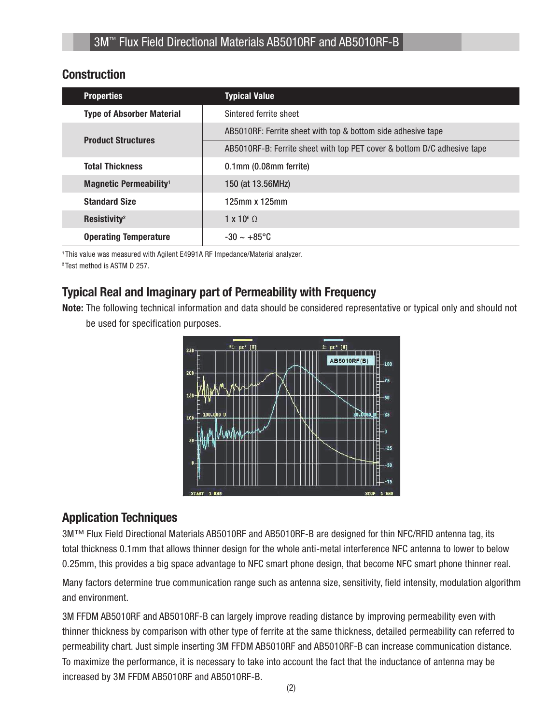# **Construction**

| <b>Properties</b>                         | <b>Typical Value</b>                                                    |
|-------------------------------------------|-------------------------------------------------------------------------|
| <b>Type of Absorber Material</b>          | Sintered ferrite sheet                                                  |
| <b>Product Structures</b>                 | AB5010RF: Ferrite sheet with top & bottom side adhesive tape            |
|                                           | AB5010RF-B: Ferrite sheet with top PET cover & bottom D/C adhesive tape |
| <b>Total Thickness</b>                    | $0.1$ mm $(0.08$ mm ferrite)                                            |
| <b>Magnetic Permeability</b> <sup>1</sup> | 150 (at 13.56MHz)                                                       |
| <b>Standard Size</b>                      | $125$ mm x $125$ mm                                                     |
| Resistivity <sup>2</sup>                  | $1 \times 10^6$ $\Omega$                                                |
| <b>Operating Temperature</b>              | $-30 \sim +85$ °C                                                       |

<sup>1</sup> This value was measured with Agilent E4991A RF Impedance/Material analyzer.

<sup>2</sup> Test method is ASTM D 257.

# Typical Real and Imaginary part of Permeability with Frequency

Note: The following technical information and data should be considered representative or typical only and should not

be used for specification purposes.



# Application Techniques

3M™ Flux Field Directional Materials AB5010RF and AB5010RF-B are designed for thin NFC/RFID antenna tag, its total thickness 0.1mm that allows thinner design for the whole anti-metal interference NFC antenna to lower to below 0.25mm, this provides a big space advantage to NFC smart phone design, that become NFC smart phone thinner real.

Many factors determine true communication range such as antenna size, sensitivity, field intensity, modulation algorithm and environment.

3M FFDM AB5010RF and AB5010RF-B can largely improve reading distance by improving permeability even with thinner thickness by comparison with other type of ferrite at the same thickness, detailed permeability can referred to permeability chart. Just simple inserting 3M FFDM AB5010RF and AB5010RF-B can increase communication distance. To maximize the performance, it is necessary to take into account the fact that the inductance of antenna may be increased by 3M FFDM AB5010RF and AB5010RF-B.